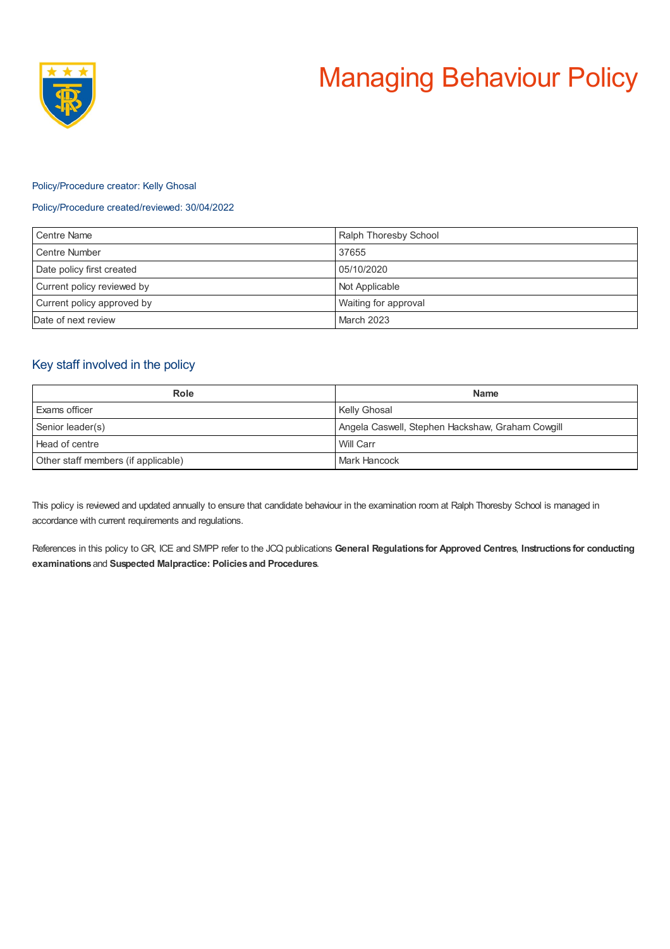

## Policy/Procedure creator: Kelly Ghosal

### Policy/Procedure created/reviewed: 30/04/2022

| Centre Name                | Ralph Thoresby School |
|----------------------------|-----------------------|
| Centre Number              | 37655                 |
| Date policy first created  | 05/10/2020            |
| Current policy reviewed by | Not Applicable        |
| Current policy approved by | Waiting for approval  |
| Date of next review        | <b>March 2023</b>     |

# Key staff involved in the policy

| <b>Role</b>                         | <b>Name</b>                                      |
|-------------------------------------|--------------------------------------------------|
| Exams officer                       | <b>Kelly Ghosal</b>                              |
| Senior leader(s)                    | Angela Caswell, Stephen Hackshaw, Graham Cowgill |
| Head of centre                      | Will Carr                                        |
| Other staff members (if applicable) | Mark Hancock                                     |

This policy is reviewed and updated annually to ensure that candidate behaviour in the examination room at Ralph Thoresby School is managed in accordance with current requirements and regulations.

References in this policy to GR, ICE and SMPP refer to the JCQ publications **General Regulations for Approved Centres**, **Instructions for conducting examinations** and **Suspected Malpractice: Policies and Procedures**.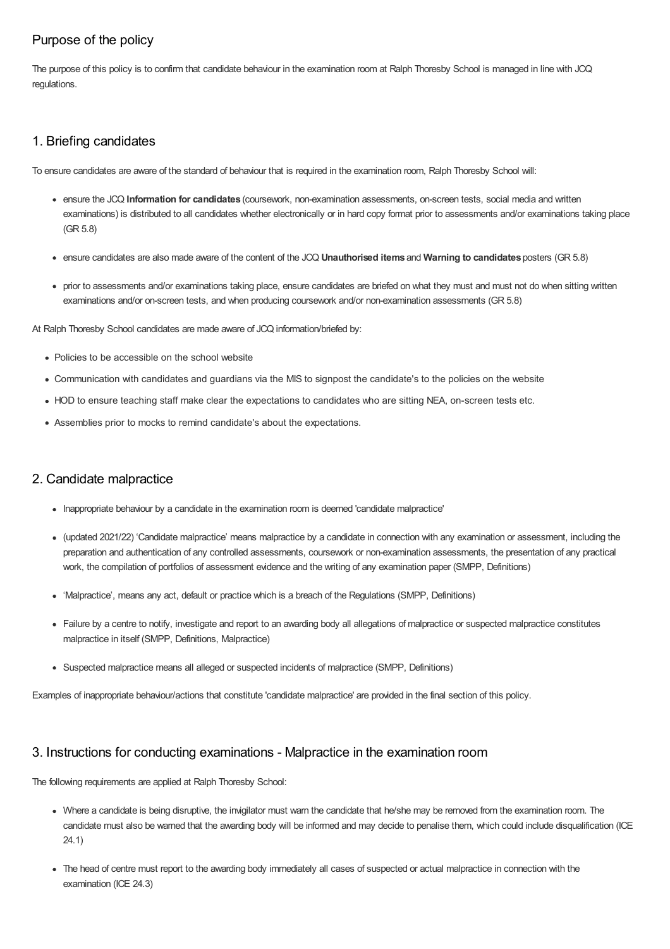# Purpose of the policy

The purpose of this policy is to confirm that candidate behaviour in the examination room at Ralph Thoresby School is managed in line with JCQ regulations.

# 1. Briefing candidates

To ensure candidates are aware of the standard of behaviour that is required in the examination room, Ralph Thoresby School will:

- ensure the JCQ **Information for candidates** (coursework, non-examination assessments, on-screen tests, social media and written examinations) is distributed to all candidates whether electronically or in hard copy format prior to assessments and/or examinations taking place (GR 5.8)
- ensure candidates are also made aware of the content of the JCQ **Unauthorised items** and **Warning to candidates** posters (GR 5.8)
- prior to assessments and/or examinations taking place, ensure candidates are briefed on what they must and must not do when sitting written examinations and/or on-screen tests, and when producing coursework and/or non-examination assessments (GR 5.8)

At Ralph Thoresby School candidates are made aware of JCQ information/briefed by:

- Policies to be accessible on the school website
- Communication with candidates and guardians via the MIS to signpost the candidate's to the policies on the website
- HOD to ensure teaching staff make clear the expectations to candidates who are sitting NEA, on-screen tests etc.
- Assemblies prior to mocks to remind candidate's about the expectations.

# 2. Candidate malpractice

- Inappropriate behaviour by a candidate in the examination room is deemed 'candidate malpractice'
- (updated 2021/22) 'Candidate malpractice' means malpractice by a candidate in connection with any examination or assessment, including the preparation and authentication of any controlled assessments, coursework or non-examination assessments, the presentation of any practical work, the compilation of portfolios of assessment evidence and the writing of any examination paper (SMPP, Definitions)
- 'Malpractice', means any act, default or practice which is a breach of the Regulations (SMPP, Definitions)
- Failure by a centre to notify, investigate and report to an awarding body all allegations of malpractice or suspected malpractice constitutes malpractice in itself (SMPP, Definitions, Malpractice)
- Suspected malpractice means all alleged or suspected incidents of malpractice (SMPP, Definitions)

Examples of inappropriate behaviour/actions that constitute 'candidate malpractice' are provided in the final section of this policy.

# 3. Instructions for conducting examinations - Malpractice in the examination room

The following requirements are applied at Ralph Thoresby School:

- Where a candidate is being disruptive, the invigilator must warn the candidate that he/she may be removed from the examination room. The candidate must also be warned that the awarding body will be informed and may decide to penalise them, which could include disqualification (ICE 24.1)
- The head of centre must report to the awarding body immediately all cases of suspected or actual malpractice in connection with the examination (ICE 24.3)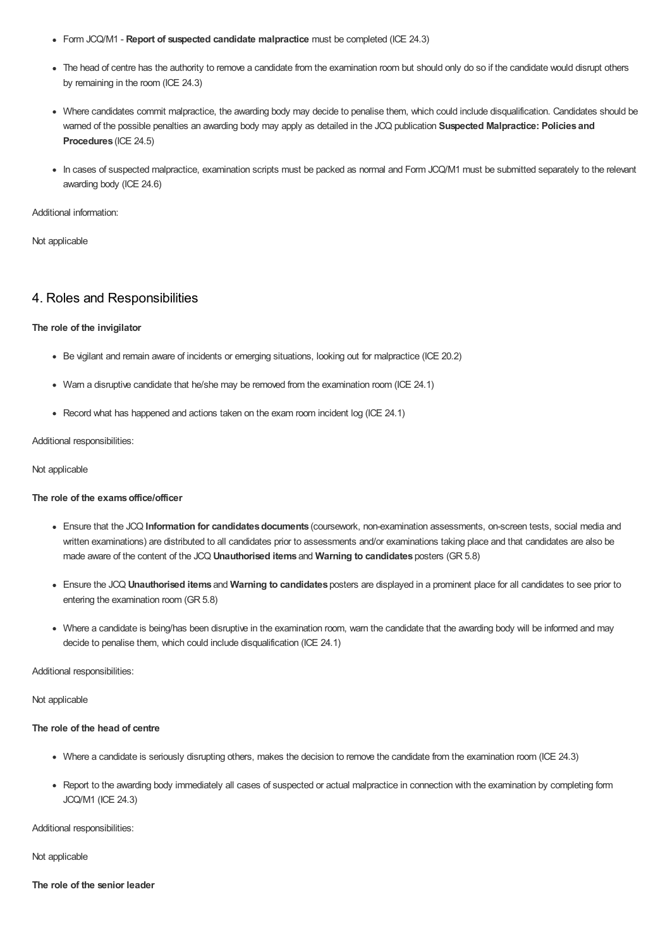- Form JCQ/M1 **Report of suspected candidate malpractice** must be completed (ICE 24.3)
- The head of centre has the authority to remove a candidate from the examination room but should only do so if the candidate would disrupt others by remaining in the room (ICE 24.3)
- Where candidates commit malpractice, the awarding body may decide to penalise them, which could include disqualification. Candidates should be warned of the possible penalties an awarding body may apply as detailed in the JCQ publication **Suspected Malpractice: Policies and Procedures** (ICE 24.5)
- In cases of suspected malpractice, examination scripts must be packed as normal and Form JCQ/M1 must be submitted separately to the relevant awarding body (ICE 24.6)

Additional information:

Not applicable

## 4. Roles and Responsibilities

#### **The role of the invigilator**

- Be vigilant and remain aware of incidents or emerging situations, looking out for malpractice (ICE 20.2)
- Warn a disruptive candidate that he/she may be removed from the examination room (ICE 24.1)
- Record what has happened and actions taken on the exam room incident log (ICE 24.1)

#### Additional responsibilities:

#### Not applicable

#### **The role of the examsoffice/officer**

- Ensure that the JCQ Information for candidates documents (coursework, non-examination assessments, on-screen tests, social media and written examinations) are distributed to all candidates prior to assessments and/or examinations taking place and that candidates are also be made aware of the content of the JCQ **Unauthorised items** and **Warning to candidates** posters (GR 5.8)
- Ensure the JCQ **Unauthorised items** and **Warning to candidates** posters are displayed in a prominent place for all candidates to see prior to entering the examination room (GR 5.8)
- Where a candidate is being/has been disruptive in the examination room, warn the candidate that the awarding body will be informed and may decide to penalise them, which could include disqualification (ICE 24.1)

Additional responsibilities:

Not applicable

#### **The role of the head of centre**

- Where a candidate is seriously disrupting others, makes the decision to remove the candidate from the examination room (ICE 24.3)
- Report to the awarding body immediately all cases of suspected or actual malpractice in connection with the examination by completing form JCQ/M1 (ICE 24.3)

Additional responsibilities:

Not applicable

**The role of the senior leader**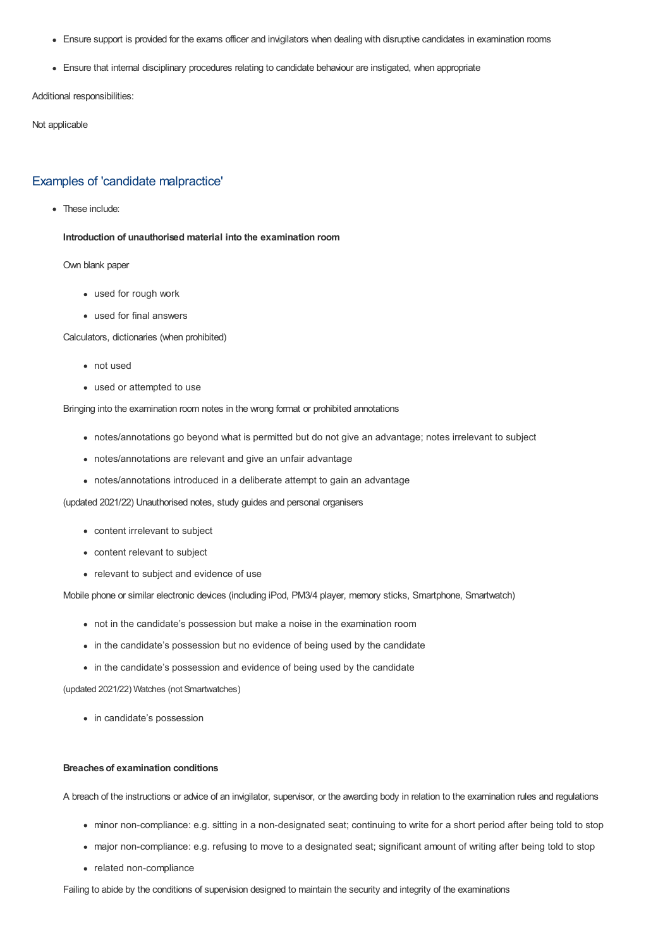- Ensure support is provided for the exams officer and invigilators when dealing with disruptive candidates in examination rooms
- Ensure that internal disciplinary procedures relating to candidate behaviour are instigated, when appropriate

Additional responsibilities:

Not applicable

### Examples of 'candidate malpractice'

• These include:

**Introduction of unauthorised material into the examination room**

Own blank paper

- used for rough work
- used for final answers

Calculators, dictionaries (when prohibited)

- not used
- used or attempted to use

Bringing into the examination room notes in the wrong format or prohibited annotations

- notes/annotations go beyond what is permitted but do not give an advantage; notes irrelevant to subject
- notes/annotations are relevant and give an unfair advantage
- notes/annotations introduced in a deliberate attempt to gain an advantage

(updated 2021/22) Unauthorised notes, study guides and personal organisers

- content irrelevant to subject
- content relevant to subject
- relevant to subject and evidence of use

Mobile phone or similar electronic devices (including iPod, PM3/4 player, memory sticks, Smartphone, Smartwatch)

- not in the candidate's possession but make a noise in the examination room
- in the candidate's possession but no evidence of being used by the candidate
- in the candidate's possession and evidence of being used by the candidate

(updated 2021/22) Watches (not Smartwatches)

• in candidate's possession

### **Breaches of examination conditions**

A breach of the instructions or advice of an invigilator, supervisor, or the awarding body in relation to the examination rules and regulations

- minor non-compliance: e.g. sitting in a non-designated seat; continuing to write for a short period after being told to stop
- major non-compliance: e.g. refusing to move to a designated seat; significant amount of writing after being told to stop
- related non-compliance

Failing to abide by the conditions of supervision designed to maintain the security and integrity of the examinations